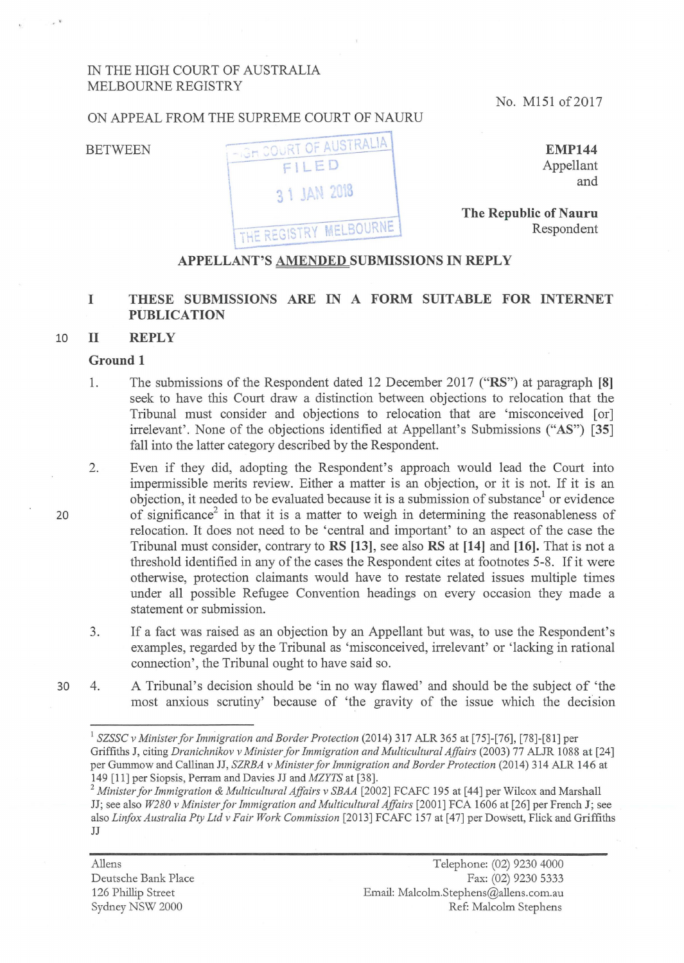# IN THE HIGH COURT OF AUSTRALIA MELBOURNE REGISTRY

No. M151 of 2017

# **BETWEEN**

ON APPEAL FROM THE SUPREME COURT OF NAURU



**EMP144**  Appellant and

**The Republic of Nauru** Respondent

# **APPELLANT'S AMENDED SUBMISSIONS IN REPLY**

# I THESE SUBMISSIONS ARE IN A FORM SUITABLE FOR INTERNET **PUBLICATION**

#### 10 **11 REPLY**

#### **Ground 1**

- 1. The submissions of the Respondent dated 12 December 2017 **("RS")** at paragraph **[8]**  seek to have this Court draw a distinction between objections to relocation that the Tribunal must consider and objections to relocation that are 'misconceived [or] irrelevant'. None of the objections identified at Appellant's Submissions ("AS") [35] fall into the latter category described by the Respondent.
- 2. Even if they did, adopting the Respondent's approach would lead the Court into impennissible merits review. Either a matter is an objection, or it is not. If it is an objection, it needed to be evaluated because it is a submission of substance<sup>1</sup> or evidence of significance<sup>2</sup> in that it is a matter to weigh in determining the reasonableness of relocation. It does not need to be 'central and important' to an aspect of the case the Tribunal must consider, contrary to **RS [13],** see also **RS at [14]** and **[16].** That is not a threshold identified in any of the cases the Respondent cites at footnotes 5-8. If it were otherwise, protection claimants would have to restate related issues multiple times under all possible Refugee Convention headings on every occasion they made a statement or submission.
- 3. If a fact was raised as an objection by an Appellant but was, to use the Respondent's examples, regarded by the Tribunal as 'misconceived, irrelevant' or 'lacking in rational connection', the Tribunal ought to have said so.
- 30 4. A Tribunal's decision should be 'in no way flawed' and should be the subject of 'the most anxious scrutiny' because of 'the gravity of the issue which the decision

<sup>2</sup>*Minister for Immigration* & *Multicultural Affairs v SBAA* [2002] FCAFC 195 at [44] per Wilcox and Marshal! JJ; see also *W280 v Minister for Immigration and Multicultural Affairs* [2001] FCA 1606 at [26] per French J; see also *Linfox Australia Pty Ltd v Fair Work Commission* [2013] FCAFC 157 at [47] per Dowsett, Flick and Griffiths JJ

Allens Deutsche Bank Place 126 Phillip Street Sydney NSW 2000

<sup>&</sup>lt;sup>1</sup> SZSSC v Minister for Immigration and Border Protection (2014) 317 ALR 365 at [75]-[76], [78]-[81] per Griffiths J, citing *Dranichnikov v Minister for Immigration and Multicultural Affairs* (2003) 77 ALJR 1088 at [24] per Gummow and Callinan JJ, *SZRBA v Minister for Immigration and Border Protection* (2014) 314 ALR 146 at 149 [11] per Siopsis, Perram and Davies JJ and *MZYTS* at [38].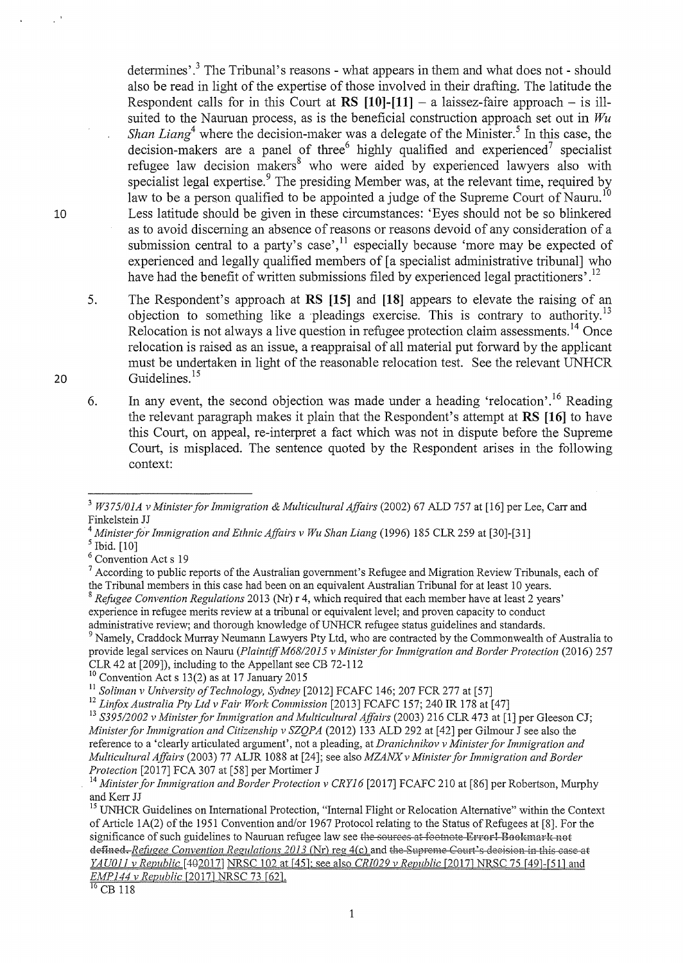determines'.<sup>3</sup> The Tribunal's reasons - what appears in them and what does not - should also be read in light of the expertise of those involved in their drafting. The latitude the Respondent calls for in this Court at  $RS$  [10]-[11]  $-$  a laissez-faire approach  $-$  is illsuited to the Nauruan process, as is the beneficial construction approach set out in *Wu Shan Liang*<sup>4</sup> where the decision-maker was a delegate of the Minister.<sup>5</sup> In this case, the decision-makers are a panel of three<sup>6</sup> highly qualified and experienced<sup>7</sup> specialist refugee law decision makers<sup>8</sup> who were aided by experienced lawyers also with specialist legal expertise.<sup>9</sup> The presiding Member was, at the relevant time, required by law to be a person qualified to be appointed a judge of the Supreme Court of Nauru.<sup>10</sup> Less latitude should be given in these circumstances: 'Eyes should not be so blinkered as to avoid disceming an absence of reasons or reasons devoid of any consideration of a submission central to a party's case', $\frac{1}{1}$  especially because 'more may be expected of experienced and legally qualified members of [a specialist administrative tribunal] who have had the benefit of written submissions filed by experienced legal practitioners'.<sup>12</sup>

5. The Respondent's approach at RS **[15]** and **[18]** appears to elevate the raising of an objection to something like a pleadings exercise. This is contrary to authority.<sup>13</sup> Relocation is not always a live question in refugee protection claim assessments.<sup>14</sup> Once relocation is raised as an issue, a reappraisal of all material put forward by the applicant must be undertaken in light of the reasonable relocation test. See the relevant UNHCR Guidelines.<sup>15</sup>

6. In any event, the second objection was made under a heading 'relocation'.<sup>16</sup> Reading the relevant paragraph makes it plain that the Respondent's attempt at **RS [16]** to have this Court, on appeal, re-interpret a fact which was not in dispute before the Supreme Court, is misplaced. The sentence quoted by the Respondent arises in the following context:

administrative review; and thorough knowledge of UNHCR refugee status guidelines and standards.<br><sup>9</sup> Namely, Craddock Murray Neumann Lawyers Pty Ltd, who are contracted by the Commonwealth of Australia to provide legal services on Nauru *(Plaintiff M68/2015 v Minister for Immigration and Border Protection (2016) 257* CLR 42 at [209]), including to the Appellant see CB 72-112

20

<sup>3</sup>*W375/0IA v Minister for Immigration* & *Multicultural Affairs* (2002) 67 ALD 757 at [16] per Lee, Carr and

Finkelstein JJ<br><sup>4</sup> Minister for Immigration and Ethnic Affairs v Wu Shan Liang (1996) 185 CLR 259 at [30]-[31]<br><sup>5</sup> Ibid. [10]

<sup>&</sup>lt;sup>6</sup> Convention Act s 19<br><sup>7</sup> According to public reports of the Australian government's Refugee and Migration Review Tribunals, each of the Tribunal members in this case had been on an equivalent Australian Tribunal for at least 10 years.

<sup>8</sup>*Refogee Convention Regulations* 2013 (Nr) r 4, which required that each member have at least 2 years' experience in refugee merits review at a tribunal or equivalent level; and proven capacity to conduct

 $10$  Convention Act s 13(2) as at 17 January 2015

<sup>&</sup>lt;sup>11</sup> Soliman v University of Technology, Sydney [2012] FCAFC 146; 207 FCR 277 at [57]<br><sup>12</sup> Linfox Australia Pty Ltd v Fair Work Commission [2013] FCAFC 157; 240 IR 178 at [47]<br><sup>13</sup> S395/2002 v Minister for Immigration and *Ministerfor Immigration and Citizenship v SZQPA* (2012) 133 ALD 292 at [42] per Gihnour J see also the reference to a 'clearly articulated argument', not a pleading, at Dranichnikov v Minister for Immigration and *Multicultural Affairs* (2003) 77 ALJR 1088 at [24]; see also *MZANX v Minister for Immigration and Border Protection* [2017] FCA 307 at [58] per Mortimer J

<sup>&</sup>lt;sup>14</sup> *Minister for Immigration and Border Protection v CRY16* [2017] FCAFC 210 at [86] per Robertson, Murphy and Kerr JJ

<sup>&</sup>lt;sup>15</sup> UNHCR Guidelines on International Protection, "Internal Flight or Relocation Alternative" within the Context of Article  $1A(2)$  of the 1951 Convention and/or 1967 Protocol relating to the Status of Refugees at [8]. For the significance of such guidelines to Nauruan refugee law see the sources at footnote Error! Bookmark not defined. *Refugee Convention Regulations 2013* (Nr) reg 4(c) and the Supreme Court's decision in this case at *YAU011 v Republic* [402017] NRSC 102 at [45]; see also *CRI029 v Republic* [2017] NRSC 75 [49]-[51] and **EMP 144 v Republic [2017]** NRSC 73 [62]

 $^{16}$  CB 118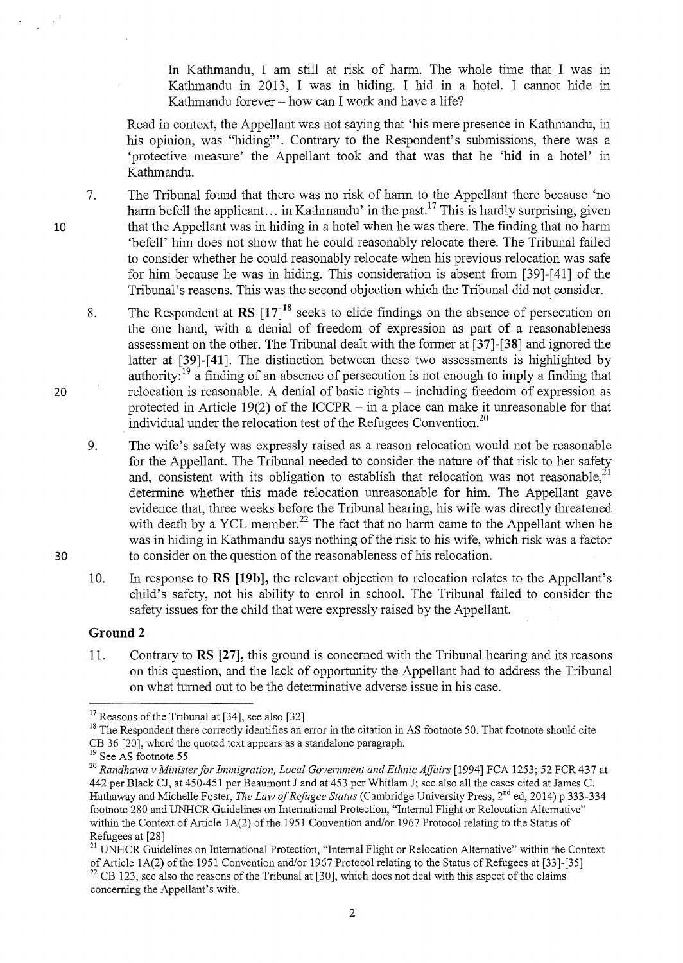In Kathmandu, I am still at risk of harm. The whole time that I was in Kathmandu in 2013, I was in hiding. I hid in a hotel. I cannot hide in Kathmandu forever  $-$  how can I work and have a life?

Read in context, the Appellant was not saying that 'his mere presence in Kathmandu, in his opinion, was "hiding"'. Contrary to the Respondent's submissions, there was a 'protective measure' the Appellant took and that was that he 'hid in a hotel' in Kathmandu.

- 7. The Tribunal found that there was no risk of harm to the Appellant there because 'no harm befell the applicant... in Kathmandu' in the past.<sup>17</sup> This is hardly surprising, given that the Appellant was in hiding in a hotel when he was there. The finding that no harm 'befell' him does not show that he could reasonably relocate there. The Tribunal failed to consider whether he could reasonably relocate when his previous relocation was safe for him because he was in hiding. This consideration is absent from [39]-[41] of the Tribunal's reasons. This was the second objection which the Tribunal did not consider.
	- 8. The Respondent at  $\text{RS}$   $\left[17\right]^{18}$  seeks to elide findings on the absence of persecution on the one hand, with a denial of freedom of expression as part of a reasonableness assessment on the other. The Tribunal dealt with the fonner at **[37]-[38]** and ignored the latter at [39]-[41]. The distinction between these two assessments is highlighted by authority:  $19$  a finding of an absence of persecution is not enough to imply a finding that relocation is reasonable. A denial of basic rights – including freedom of expression as protected in Article 19(2) of the ICCPR  $-$  in a place can make it unreasonable for that individual under the relocation test of the Refugees Convention.<sup>20</sup>
	- 9. The wife's safety was expressly raised as a reason relocation would not be reasonable for the Appellant. The Tribunal needed to consider the nature of that risk to her safety and, consistent with its obligation to establish that relocation was not reasonable.<sup>21</sup> determine whether this made relocation unreasonable for him. The Appellant gave evidence that, three weeks before the Tribunal hearing, his wife was directly threatened with death by a YCL member.<sup>22</sup> The fact that no harm came to the Appellant when he was in hiding in Kathmandu says nothing of the risk to his wife, which risk was a factor to consider on the question of the reasonableness of his relocation.
	- 10. In response to **RS [19b],** the relevant objection to relocation relates to the Appellant's child's safety, not his ability to enrol in school. The Tribunal failed to consider the safety issues for the child that were expressly raised by the Appellant.

# **Ground2**

11. Contrary to **RS [27],** this ground is concerned with the Tribunal hearing and its reasons on this question, and the lack of opportunity the Appellant had to address the Tribunal on what turned out to be the detenninative adverse issue in his case.

10

<sup>&</sup>lt;sup>17</sup> Reasons of the Tribunal at [34], see also [32]<br><sup>18</sup> The Respondent there correctly identifies an error in the citation in AS footnote 50. That footnote should cite CB 36 [20], where the quoted text appears as a standalone paragraph. <sup>19</sup> See AS footnote 55

<sup>&</sup>lt;sup>20</sup> Randhawa v Minister for Immigration, Local Government and Ethnic Affairs [1994] FCA 1253; 52 FCR 437 at 442 per Black CJ, at 450-451 per Beaumont J and at 453 per Whitlam J; see also all the cases cited at James C. Hathaway and Michelle Foster, *The Law of Refugee Status* (Cambridge University Press, 2<sup>nd</sup> ed, 2014) p 333-334 footnote 280 and UNHCR Guidelines on International Protection, "Internal Flight or Relocation Alternative" within the Context of Article 1A(2) of the 1951 Convention and/or 1967 Protocol relating to the Status of Refugees at [28]

<sup>&</sup>lt;sup>21</sup> UNHCR Guidelines on International Protection, "Internal Flight or Relocation Alternative" within the Context of Article 1A(2) of the 1951 Convention and/or 1967 Protocol relating to the Status of Refugees at [33]-[35]  $22$  CB 123, see also the reasons of the Tribunal at [30], which does not deal with this aspect of the claims concerning the Appellant's wife.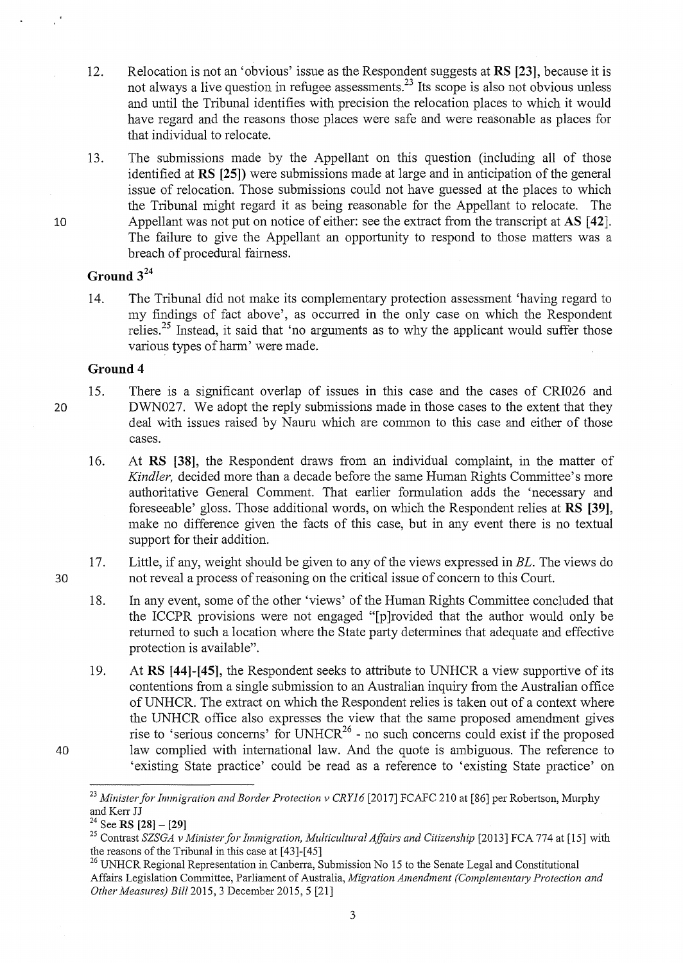- 12. Relocation is not an 'obvious' issue as the Respondent suggests at RS [23], because it is not always a live question in refugee assessments.<sup>23</sup> Its scope is also not obvious unless and until the Tribunal identifies with precision the relocation places to which it would have regard and the reasons those places were safe and were reasonable as places for that individual to relocate.
- 13. The submissions made by the Appellant on this question (including all of those identified at **RS [25])** were submissions made at large and in anticipation of the general issue of relocation. Those submissions could not have guessed at the places to which the Tribunal might regard it as being reasonable for the Appellant to relocate. The Appellant was not put on notice of either: see the extract from the transcript at AS [42]. The failure to give the Appellant an opportunity to respond to those matters was a breach of procedural fairness.

# **Ground** 3<sup>24</sup>

14. The Tribunal did not make its complementary protection assessment 'having regard to my findings of fact above', as occurred in the only case on which the Respondent relies.<sup>25</sup> Instead, it said that 'no arguments as to why the applicant would suffer those various types of harm' were made.

#### **Ground 4**

20

30

40

10

15. There is a significant overlap of issues in this case and the cases of CRI026 and DWN027. We adopt the reply submissions made in those cases to the extent that they deal with issues raised by Nauru which are common to this case and either of those cases.

16. At **RS** [38], the Respondent draws from an individual complaint, in the matter of *Kindler*, decided more than a decade before the same Human Rights Committee's more authoritative General Comment. That earlier formulation adds the 'necessary and foreseeable' gloss. Those additional words, on which the Respondent relies at **RS** [39], make no difference given the facts of this case, but in any event there is no textual support for their addition.

17. Little, if any, weight should be given to any of the views expressed in *BL.* The views do not reveal a process of reasoning on the critical issue of concern to this Court.

- 18. In any event, some of the other 'views' of the Human Rights Committee concluded that the ICCPR provisions were not engaged "[p ]rovided that the author would only be returned to such a location where the State party detennines that adequate and effective protection is available".
- 19. At RS **[44]-[45],** the Respondent seeks to attribute to UNHCR a view supportive of its contentions from a single submission to an Australian inquiry from the Australian office ofUNHCR. The extract on which the Respondent relies is taken out of a context where the UNHCR office also expresses the view that the same proposed amendment gives rise to 'serious concerns' for UNHCR<sup>26</sup> - no such concerns could exist if the proposed law complied with international law. And the quote is ambiguous. The reference to 'existing State practice' could be read as a reference to 'existing State practice' on

<sup>&</sup>lt;sup>23</sup> Minister for Immigration and Border Protection v CRY16 [2017] FCAFC 210 at [86] per Robertson, Murphy and Kerr JJ

<sup>&</sup>lt;sup>24</sup> See RS [28] - [29]

<sup>&</sup>lt;sup>25</sup> Contrast *SZSGA v Minister for Immigration, Multicultural Affairs and Citizenship* [2013] FCA 774 at [15] with the reasons of the Tribunal in this case at [43]-[45]

<sup>&</sup>lt;sup>26</sup> UNHCR Regional Representation in Canberra, Submission No 15 to the Senate Legal and Constitutional Affairs Legislation Committee, Parliament of Australia, *Migration Amendment (Complementmy Protection and Other Measures) Bill2015,* 3 December 2015, 5 [21]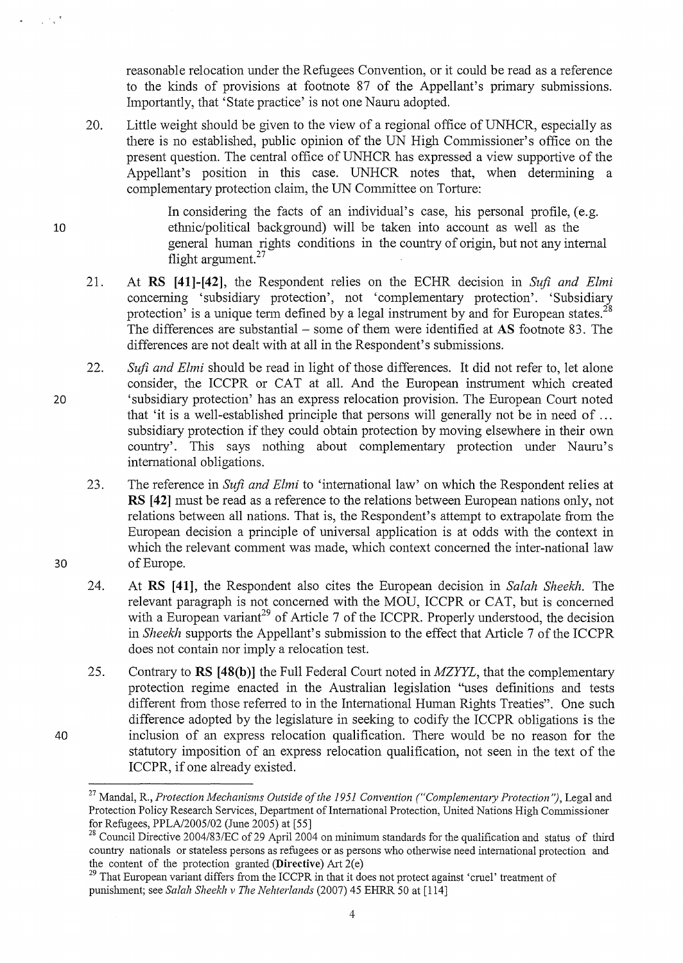reasonable relocation under the Refugees Convention, or it could be read as a reference to the kinds of provisions at footnote  $87$  of the Appellant's primary submissions. Importantly, that 'State practice' is not one Nauru adopted.

20. Little weight should be given to the view of a regional office of UNHCR, especially as there is no established, public opinion of the UN High Commissioner's office on the present question. The central office of UNHCR has expressed a view supportive of the Appellant's position in this case. UNHCR notes that, when detennining a complementary protection claim, the UN Committee on Torture:

> In considering the facts of an individual's case, his personal profile, (e.g. ethnic/political background) will be taken into account as well as the general human rights conditions in the country of origin, but not any internal flight argument. $27$

- 21. At **RS [41}-[42},** the Respondent relies on the ECHR decision in *Sufi and Elmi*  concerning 'subsidiary protection', not 'complementary protection'. 'Subsidiary protection' is a unique term defined by a legal instrument by and for European states.<sup>28</sup> The differences are substantial – some of them were identified at AS footnote 83. The differences are not dealt with at all in the Respondent's submissions.
- 20 22. *Sufi and Elmi* should be read in light of those differences. It did not refer to, let alone consider, the ICCPR or CAT at all. And the European instrument which created 'subsidiary protection' has an express relocation provision. The European Court noted that 'it is a well-established principle that persons will generally not be in need of  $\dots$ subsidiary protection if they could obtain protection by moving elsewhere in their own country'. This says nothing about complementary protection under Nauru's international obligations.
	- 23. The reference in *Sufi and Elmi* to 'international law' on which the Respondent relies at **RS [421** must be read as a reference to the relations between European nations only, not relations between all nations. That is, the Respondent's attempt to extrapolate from the European decision a principle of universal application is at odds with the context in which the relevant comment was made, which context concerned the inter-national law of Europe.
	- 24. At **RS [41},** the Respondent also cites the European decision in *Salah Sheekh.* The relevant paragraph is not concerned with the MOU, ICCPR or CAT, but is concerned with a European variant<sup>29</sup> of Article 7 of the ICCPR. Properly understood, the decision in *Sheekh* supports the Appellant's submission to the effect that Article 7 of the ICCPR does not contain nor imply a relocation test.
	- 25. Contrary to **RS [48(b)]** the Full Federal Court noted in *MZYYL*, that the complementary protection regime enacted in the Australian legislation ''uses definitions and tests different from those refened to in the International Human Rights Treaties". One such difference adopted by the legislature in seeking to codify the ICCPR obligations is the inclusion of an express relocation qualification. There would be no reason for the statutory imposition of an express relocation qualification, not seen in the text of the ICCPR, if one already existed.

10

 $\sim 10^{-4}$  s  $^{-1}$ 

<sup>&</sup>lt;sup>27</sup> Mandal, R., *Protection Mechanisms Outside of the 1951 Convention ("Complementary Protection")*, Legal and Protection Policy Research Services, Department of International Protection, United Nations High Commissioner for Refugees, PPLA/2005/02 (June 2005) at [55]

<sup>&</sup>lt;sup>28</sup> Council Directive 2004/83/EC of 29 April 2004 on minimum standards for the qualification and status of third country nationals or stateless persons as refugees or as persons who otherwise need international protection and the content of the protection granted  $(Directive)$  Art  $2(e)$ 

<sup>&</sup>lt;sup>29</sup> That European variant differs from the ICCPR in that it does not protect against 'cruel' treatment of punishment; see *Salah Sheekh v The Nehterlands* (2007) 45 EHRR 50 at [114]